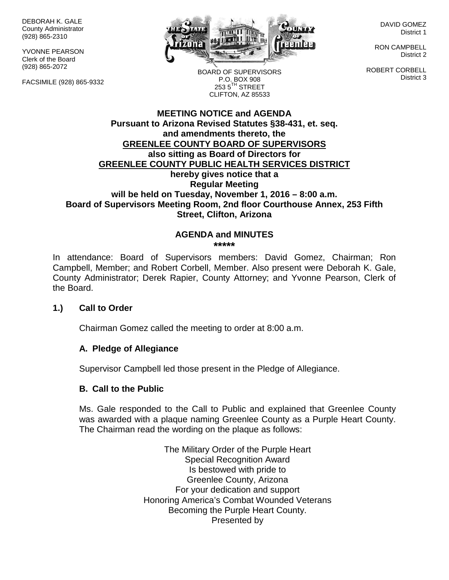DEBORAH K. GALE County Administrator (928) 865-2310

YVONNE PEARSON Clerk of the Board (928) 865-2072

FACSIMILE (928) 865-9332



DAVID GOMEZ District 1

RON CAMPBELL District 2

ROBERT CORBELL District 3

BOARD OF SUPERVISORS P.O. BOX 908  $253.5$ <sup>TH</sup> STREET CLIFTON, AZ 85533

### **MEETING NOTICE and AGENDA Pursuant to Arizona Revised Statutes §38-431, et. seq. and amendments thereto, the GREENLEE COUNTY BOARD OF SUPERVISORS also sitting as Board of Directors for GREENLEE COUNTY PUBLIC HEALTH SERVICES DISTRICT hereby gives notice that a Regular Meeting will be held on Tuesday, November 1, 2016 – 8:00 a.m. Board of Supervisors Meeting Room, 2nd floor Courthouse Annex, 253 Fifth Street, Clifton, Arizona**

#### **AGENDA and MINUTES \*\*\*\*\***

In attendance: Board of Supervisors members: David Gomez, Chairman; Ron Campbell, Member; and Robert Corbell, Member. Also present were Deborah K. Gale, County Administrator; Derek Rapier, County Attorney; and Yvonne Pearson, Clerk of the Board.

## **1.) Call to Order**

Chairman Gomez called the meeting to order at 8:00 a.m.

## **A. Pledge of Allegiance**

Supervisor Campbell led those present in the Pledge of Allegiance.

## **B. Call to the Public**

Ms. Gale responded to the Call to Public and explained that Greenlee County was awarded with a plaque naming Greenlee County as a Purple Heart County. The Chairman read the wording on the plaque as follows:

> The Military Order of the Purple Heart Special Recognition Award Is bestowed with pride to Greenlee County, Arizona For your dedication and support Honoring America's Combat Wounded Veterans Becoming the Purple Heart County. Presented by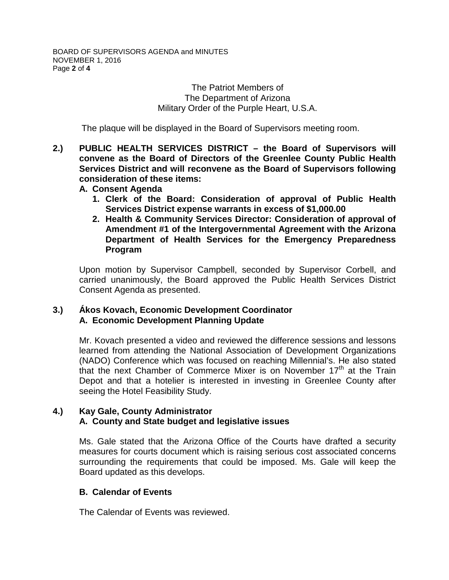### The Patriot Members of The Department of Arizona Military Order of the Purple Heart, U.S.A.

The plaque will be displayed in the Board of Supervisors meeting room.

- **2.) PUBLIC HEALTH SERVICES DISTRICT – the Board of Supervisors will convene as the Board of Directors of the Greenlee County Public Health Services District and will reconvene as the Board of Supervisors following consideration of these items:**
	- **A. Consent Agenda**
		- **1. Clerk of the Board: Consideration of approval of Public Health Services District expense warrants in excess of \$1,000.00**
		- **2. Health & Community Services Director: Consideration of approval of Amendment #1 of the Intergovernmental Agreement with the Arizona Department of Health Services for the Emergency Preparedness Program**

Upon motion by Supervisor Campbell, seconded by Supervisor Corbell, and carried unanimously, the Board approved the Public Health Services District Consent Agenda as presented.

## **3.) Ákos Kovach, Economic Development Coordinator A. Economic Development Planning Update**

Mr. Kovach presented a video and reviewed the difference sessions and lessons learned from attending the National Association of Development Organizations (NADO) Conference which was focused on reaching Millennial's. He also stated that the next Chamber of Commerce Mixer is on November  $17<sup>th</sup>$  at the Train Depot and that a hotelier is interested in investing in Greenlee County after seeing the Hotel Feasibility Study.

## **4.) Kay Gale, County Administrator A. County and State budget and legislative issues**

Ms. Gale stated that the Arizona Office of the Courts have drafted a security measures for courts document which is raising serious cost associated concerns surrounding the requirements that could be imposed. Ms. Gale will keep the Board updated as this develops.

# **B. Calendar of Events**

The Calendar of Events was reviewed.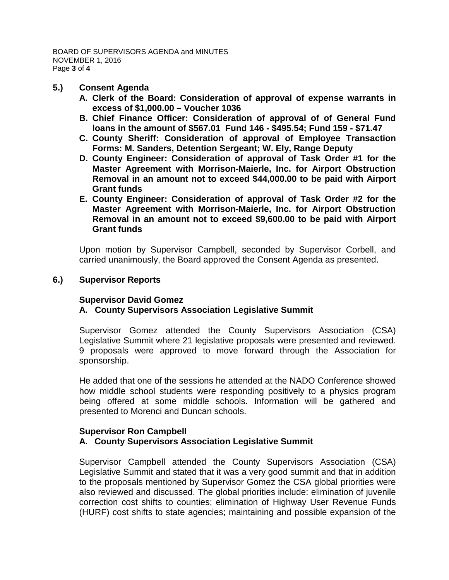### **5.) Consent Agenda**

- **A. Clerk of the Board: Consideration of approval of expense warrants in excess of \$1,000.00 – Voucher 1036**
- **B. Chief Finance Officer: Consideration of approval of of General Fund loans in the amount of \$567.01 Fund 146 - \$495.54; Fund 159 - \$71.47**
- **C. County Sheriff: Consideration of approval of Employee Transaction Forms: M. Sanders, Detention Sergeant; W. Ely, Range Deputy**
- **D. County Engineer: Consideration of approval of Task Order #1 for the Master Agreement with Morrison-Maierle, Inc. for Airport Obstruction Removal in an amount not to exceed \$44,000.00 to be paid with Airport Grant funds**
- **E. County Engineer: Consideration of approval of Task Order #2 for the Master Agreement with Morrison-Maierle, Inc. for Airport Obstruction Removal in an amount not to exceed \$9,600.00 to be paid with Airport Grant funds**

Upon motion by Supervisor Campbell, seconded by Supervisor Corbell, and carried unanimously, the Board approved the Consent Agenda as presented.

### **6.) Supervisor Reports**

## **Supervisor David Gomez**

## **A. County Supervisors Association Legislative Summit**

Supervisor Gomez attended the County Supervisors Association (CSA) Legislative Summit where 21 legislative proposals were presented and reviewed. 9 proposals were approved to move forward through the Association for sponsorship.

He added that one of the sessions he attended at the NADO Conference showed how middle school students were responding positively to a physics program being offered at some middle schools. Information will be gathered and presented to Morenci and Duncan schools.

### **Supervisor Ron Campbell A. County Supervisors Association Legislative Summit**

Supervisor Campbell attended the County Supervisors Association (CSA) Legislative Summit and stated that it was a very good summit and that in addition to the proposals mentioned by Supervisor Gomez the CSA global priorities were also reviewed and discussed. The global priorities include: elimination of juvenile correction cost shifts to counties; elimination of Highway User Revenue Funds (HURF) cost shifts to state agencies; maintaining and possible expansion of the